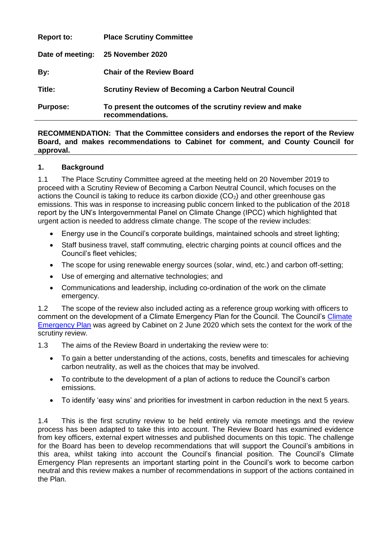| <b>Purpose:</b>   | To present the outcomes of the scrutiny review and make<br>recommendations. |
|-------------------|-----------------------------------------------------------------------------|
| Title:            | <b>Scrutiny Review of Becoming a Carbon Neutral Council</b>                 |
| By:               | <b>Chair of the Review Board</b>                                            |
| Date of meeting:  | 25 November 2020                                                            |
| <b>Report to:</b> | <b>Place Scrutiny Committee</b>                                             |

**RECOMMENDATION: That the Committee considers and endorses the report of the Review Board, and makes recommendations to Cabinet for comment, and County Council for approval.**

## **1. Background**

1.1 The Place Scrutiny Committee agreed at the meeting held on 20 November 2019 to proceed with a Scrutiny Review of Becoming a Carbon Neutral Council, which focuses on the actions the Council is taking to reduce its carbon dioxide  $(CO<sub>2</sub>)$  and other greenhouse gas emissions. This was in response to increasing public concern linked to the publication of the 2018 report by the UN's Intergovernmental Panel on Climate Change (IPCC) which highlighted that urgent action is needed to address climate change. The scope of the review includes:

- Energy use in the Council's corporate buildings, maintained schools and street lighting;
- Staff business travel, staff commuting, electric charging points at council offices and the Council's fleet vehicles;
- The scope for using renewable energy sources (solar, wind, etc.) and carbon off-setting;
- Use of emerging and alternative technologies; and
- Communications and leadership, including co-ordination of the work on the climate emergency.

1.2 The scope of the review also included acting as a reference group working with officers to comment on the development of a [Climate](https://democracy.eastsussex.gov.uk/ieListDocuments.aspx?CId=133&MId=4361&Ver=4) Emergency Plan for the Council. The Council's Climate [Emergency Plan](https://democracy.eastsussex.gov.uk/ieListDocuments.aspx?CId=133&MId=4361&Ver=4) was agreed by Cabinet on 2 June 2020 which sets the context for the work of the scrutiny review.

1.3 The aims of the Review Board in undertaking the review were to:

- To gain a better understanding of the actions, costs, benefits and timescales for achieving carbon neutrality, as well as the choices that may be involved.
- To contribute to the development of a plan of actions to reduce the Council's carbon emissions.
- To identify 'easy wins' and priorities for investment in carbon reduction in the next 5 years.

1.4 This is the first scrutiny review to be held entirely via remote meetings and the review process has been adapted to take this into account. The Review Board has examined evidence from key officers, external expert witnesses and published documents on this topic. The challenge for the Board has been to develop recommendations that will support the Council's ambitions in this area, whilst taking into account the Council's financial position. The Council's Climate Emergency Plan represents an important starting point in the Council's work to become carbon neutral and this review makes a number of recommendations in support of the actions contained in the Plan.